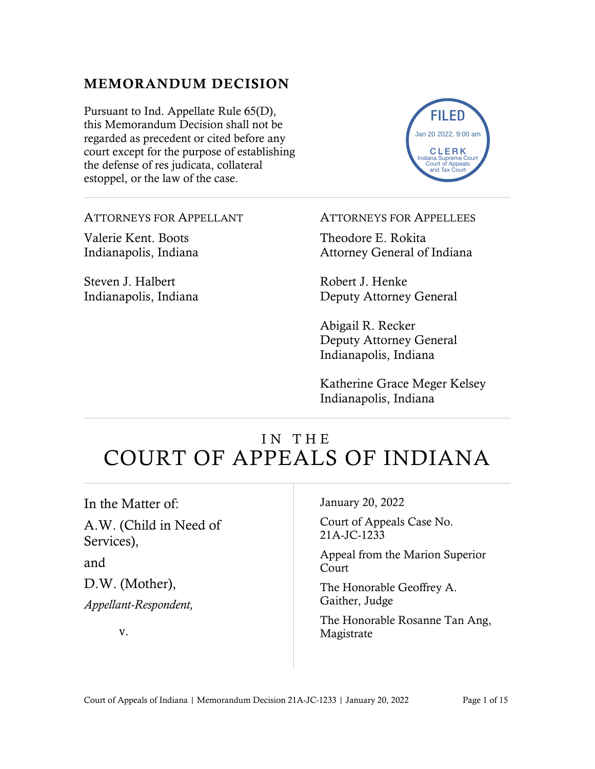# MEMORANDUM DECISION

Pursuant to Ind. Appellate Rule 65(D), this Memorandum Decision shall not be regarded as precedent or cited before any court except for the purpose of establishing the defense of res judicata, collateral estoppel, or the law of the case.



ATTORNEYS FOR APPELLANT

Valerie Kent. Boots Indianapolis, Indiana

Steven J. Halbert Indianapolis, Indiana ATTORNEYS FOR APPELLEES

Theodore E. Rokita Attorney General of Indiana

Robert J. Henke Deputy Attorney General

Abigail R. Recker Deputy Attorney General Indianapolis, Indiana

Katherine Grace Meger Kelsey Indianapolis, Indiana

# IN THE COURT OF APPEALS OF INDIANA

In the Matter of:

A.W. (Child in Need of Services),

and

D.W. (Mother), *Appellant-Respondent,*

v.

#### January 20, 2022

Court of Appeals Case No. 21A-JC-1233

Appeal from the Marion Superior Court

The Honorable Geoffrey A. Gaither, Judge

The Honorable Rosanne Tan Ang, Magistrate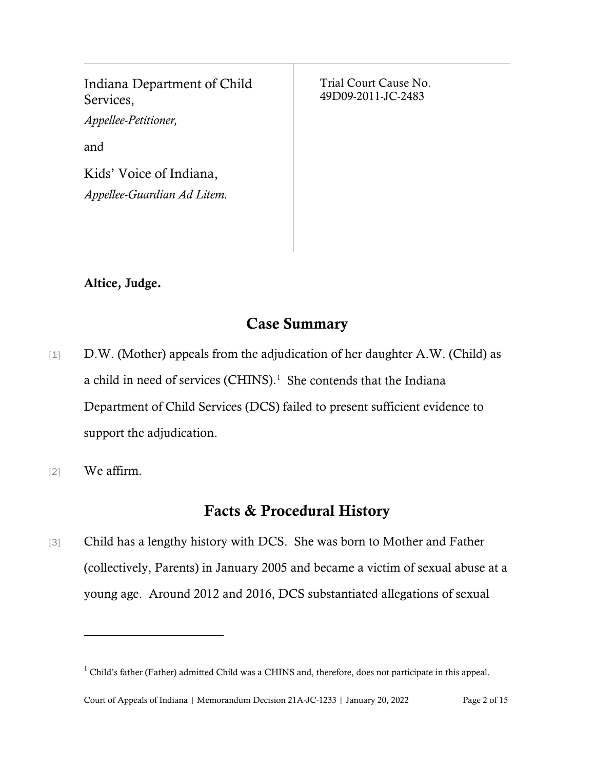Indiana Department of Child Services, *Appellee-Petitioner,* and Kids' Voice of Indiana, *Appellee-Guardian Ad Litem.*

Trial Court Cause No. 49D09-2011-JC-2483

#### Altice, Judge.

### Case Summary

- [1] D.W. (Mother) appeals from the adjudication of her daughter A.W. (Child) as a child in need of services (CHINS). $<sup>1</sup>$  $<sup>1</sup>$  $<sup>1</sup>$  She contends that the Indiana</sup> Department of Child Services (DCS) failed to present sufficient evidence to support the adjudication.
- [2] We affirm.

## Facts & Procedural History

[3] Child has a lengthy history with DCS. She was born to Mother and Father (collectively, Parents) in January 2005 and became a victim of sexual abuse at a young age. Around 2012 and 2016, DCS substantiated allegations of sexual

<span id="page-1-0"></span><sup>&</sup>lt;sup>1</sup> Child's father (Father) admitted Child was a CHINS and, therefore, does not participate in this appeal.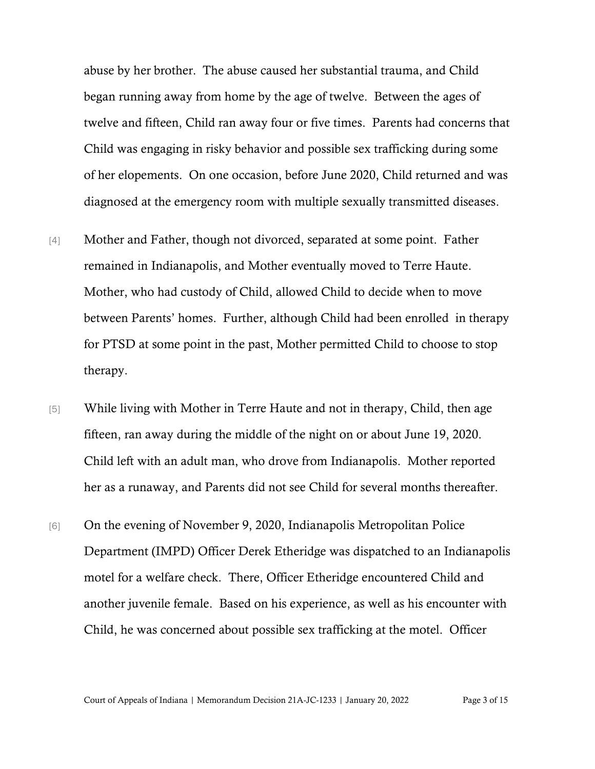abuse by her brother. The abuse caused her substantial trauma, and Child began running away from home by the age of twelve. Between the ages of twelve and fifteen, Child ran away four or five times. Parents had concerns that Child was engaging in risky behavior and possible sex trafficking during some of her elopements. On one occasion, before June 2020, Child returned and was diagnosed at the emergency room with multiple sexually transmitted diseases.

- [4] Mother and Father, though not divorced, separated at some point. Father remained in Indianapolis, and Mother eventually moved to Terre Haute. Mother, who had custody of Child, allowed Child to decide when to move between Parents' homes. Further, although Child had been enrolled in therapy for PTSD at some point in the past, Mother permitted Child to choose to stop therapy.
- [5] While living with Mother in Terre Haute and not in therapy, Child, then age fifteen, ran away during the middle of the night on or about June 19, 2020. Child left with an adult man, who drove from Indianapolis. Mother reported her as a runaway, and Parents did not see Child for several months thereafter.
- [6] On the evening of November 9, 2020, Indianapolis Metropolitan Police Department (IMPD) Officer Derek Etheridge was dispatched to an Indianapolis motel for a welfare check. There, Officer Etheridge encountered Child and another juvenile female. Based on his experience, as well as his encounter with Child, he was concerned about possible sex trafficking at the motel. Officer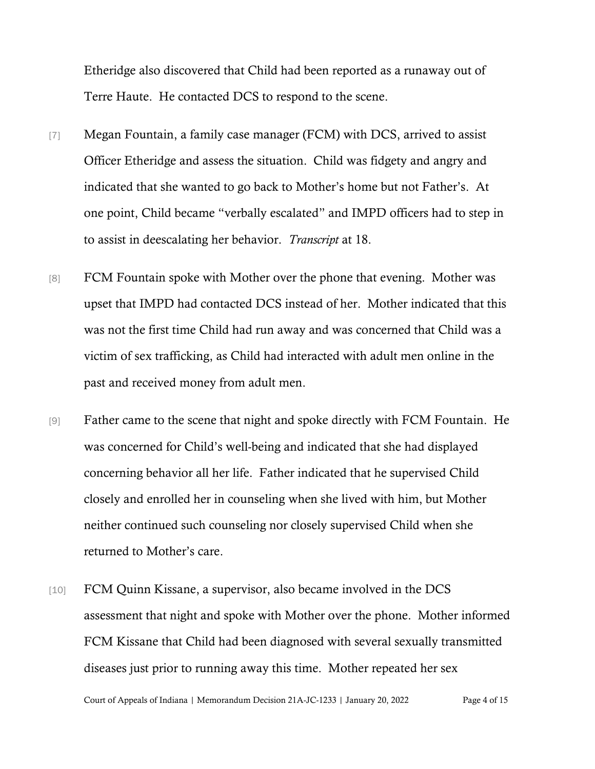Etheridge also discovered that Child had been reported as a runaway out of Terre Haute. He contacted DCS to respond to the scene.

- [7] Megan Fountain, a family case manager (FCM) with DCS, arrived to assist Officer Etheridge and assess the situation. Child was fidgety and angry and indicated that she wanted to go back to Mother's home but not Father's. At one point, Child became "verbally escalated" and IMPD officers had to step in to assist in deescalating her behavior. *Transcript* at 18.
- [8] FCM Fountain spoke with Mother over the phone that evening. Mother was upset that IMPD had contacted DCS instead of her. Mother indicated that this was not the first time Child had run away and was concerned that Child was a victim of sex trafficking, as Child had interacted with adult men online in the past and received money from adult men.
- [9] Father came to the scene that night and spoke directly with FCM Fountain. He was concerned for Child's well-being and indicated that she had displayed concerning behavior all her life. Father indicated that he supervised Child closely and enrolled her in counseling when she lived with him, but Mother neither continued such counseling nor closely supervised Child when she returned to Mother's care.
- [10] FCM Quinn Kissane, a supervisor, also became involved in the DCS assessment that night and spoke with Mother over the phone. Mother informed FCM Kissane that Child had been diagnosed with several sexually transmitted diseases just prior to running away this time. Mother repeated her sex

Court of Appeals of Indiana | Memorandum Decision 21A-JC-1233 | January 20, 2022 Page 4 of 15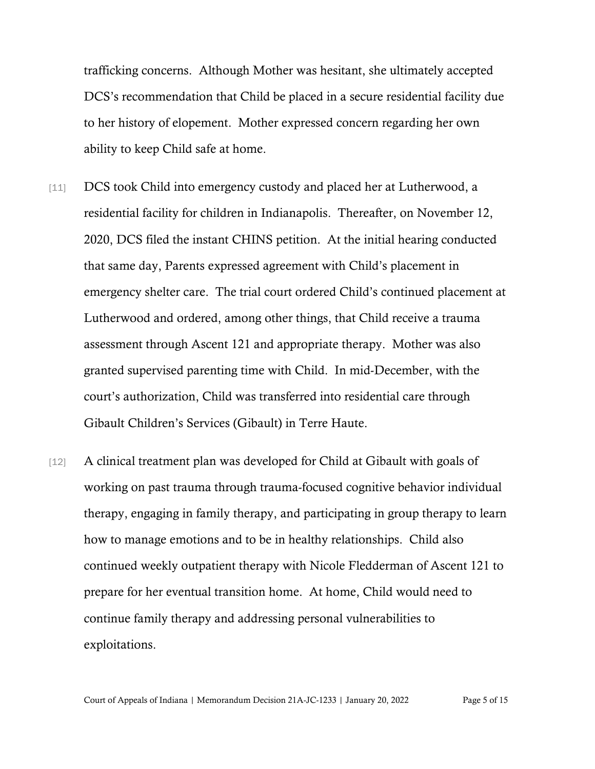trafficking concerns. Although Mother was hesitant, she ultimately accepted DCS's recommendation that Child be placed in a secure residential facility due to her history of elopement. Mother expressed concern regarding her own ability to keep Child safe at home.

- [11] DCS took Child into emergency custody and placed her at Lutherwood, a residential facility for children in Indianapolis. Thereafter, on November 12, 2020, DCS filed the instant CHINS petition. At the initial hearing conducted that same day, Parents expressed agreement with Child's placement in emergency shelter care. The trial court ordered Child's continued placement at Lutherwood and ordered, among other things, that Child receive a trauma assessment through Ascent 121 and appropriate therapy. Mother was also granted supervised parenting time with Child. In mid-December, with the court's authorization, Child was transferred into residential care through Gibault Children's Services (Gibault) in Terre Haute.
- [12] A clinical treatment plan was developed for Child at Gibault with goals of working on past trauma through trauma-focused cognitive behavior individual therapy, engaging in family therapy, and participating in group therapy to learn how to manage emotions and to be in healthy relationships. Child also continued weekly outpatient therapy with Nicole Fledderman of Ascent 121 to prepare for her eventual transition home. At home, Child would need to continue family therapy and addressing personal vulnerabilities to exploitations.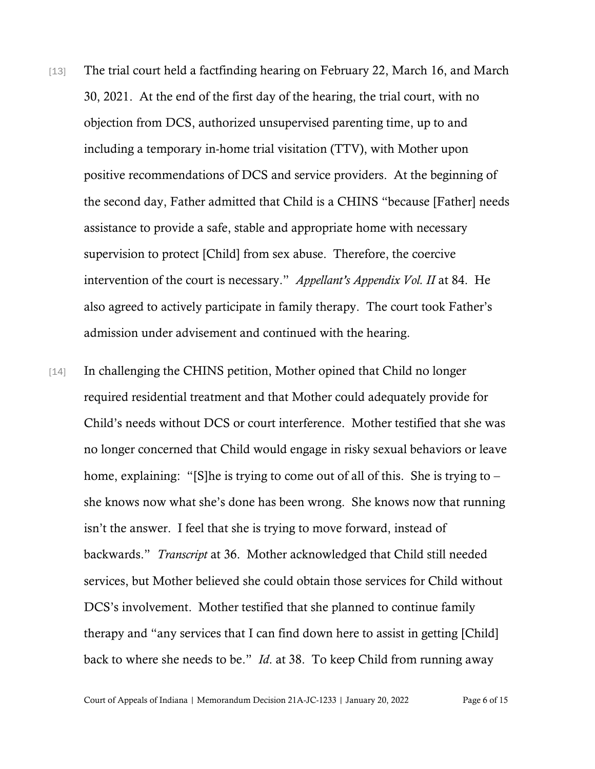- [13] The trial court held a factfinding hearing on February 22, March 16, and March 30, 2021. At the end of the first day of the hearing, the trial court, with no objection from DCS, authorized unsupervised parenting time, up to and including a temporary in-home trial visitation (TTV), with Mother upon positive recommendations of DCS and service providers. At the beginning of the second day, Father admitted that Child is a CHINS "because [Father] needs assistance to provide a safe, stable and appropriate home with necessary supervision to protect [Child] from sex abuse. Therefore, the coercive intervention of the court is necessary." *Appellant's Appendix Vol. II* at 84. He also agreed to actively participate in family therapy. The court took Father's admission under advisement and continued with the hearing.
- [14] In challenging the CHINS petition, Mother opined that Child no longer required residential treatment and that Mother could adequately provide for Child's needs without DCS or court interference. Mother testified that she was no longer concerned that Child would engage in risky sexual behaviors or leave home, explaining: "[S]he is trying to come out of all of this. She is trying to – she knows now what she's done has been wrong. She knows now that running isn't the answer. I feel that she is trying to move forward, instead of backwards." *Transcript* at 36. Mother acknowledged that Child still needed services, but Mother believed she could obtain those services for Child without DCS's involvement. Mother testified that she planned to continue family therapy and "any services that I can find down here to assist in getting [Child] back to where she needs to be." *Id*. at 38. To keep Child from running away

Court of Appeals of Indiana | Memorandum Decision 21A-JC-1233 | January 20, 2022 Page 6 of 15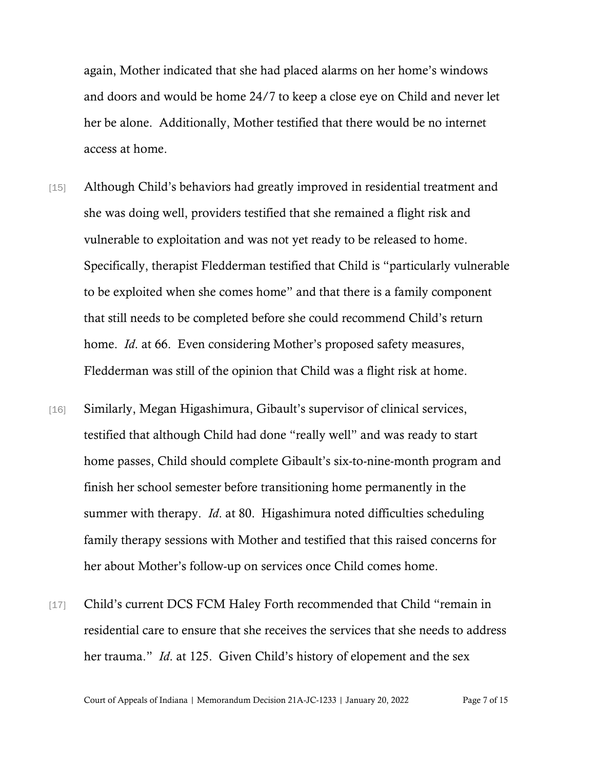again, Mother indicated that she had placed alarms on her home's windows and doors and would be home 24/7 to keep a close eye on Child and never let her be alone. Additionally, Mother testified that there would be no internet access at home.

- [15] Although Child's behaviors had greatly improved in residential treatment and she was doing well, providers testified that she remained a flight risk and vulnerable to exploitation and was not yet ready to be released to home. Specifically, therapist Fledderman testified that Child is "particularly vulnerable to be exploited when she comes home" and that there is a family component that still needs to be completed before she could recommend Child's return home. *Id*. at 66. Even considering Mother's proposed safety measures, Fledderman was still of the opinion that Child was a flight risk at home.
- [16] Similarly, Megan Higashimura, Gibault's supervisor of clinical services, testified that although Child had done "really well" and was ready to start home passes, Child should complete Gibault's six-to-nine-month program and finish her school semester before transitioning home permanently in the summer with therapy. *Id*. at 80. Higashimura noted difficulties scheduling family therapy sessions with Mother and testified that this raised concerns for her about Mother's follow-up on services once Child comes home.
- [17] Child's current DCS FCM Haley Forth recommended that Child "remain in residential care to ensure that she receives the services that she needs to address her trauma." *Id*. at 125. Given Child's history of elopement and the sex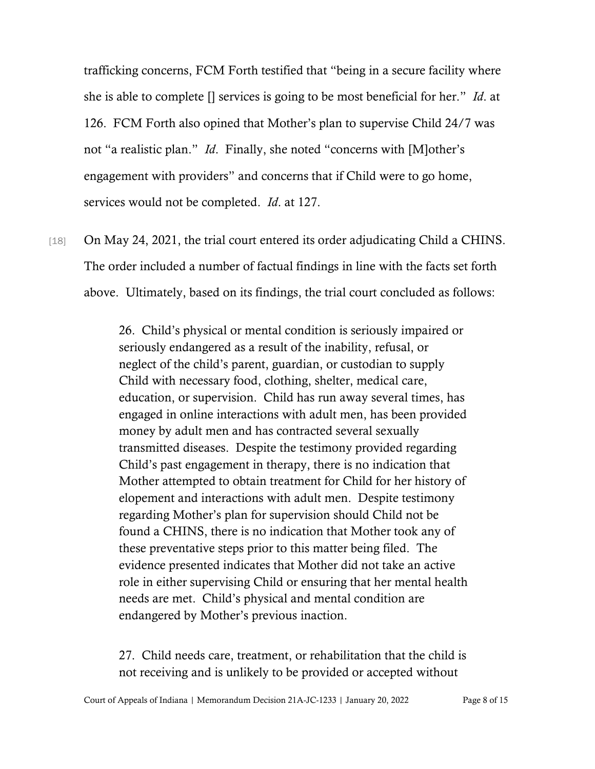trafficking concerns, FCM Forth testified that "being in a secure facility where she is able to complete [] services is going to be most beneficial for her." *Id*. at 126. FCM Forth also opined that Mother's plan to supervise Child 24/7 was not "a realistic plan." *Id*. Finally, she noted "concerns with [M]other's engagement with providers" and concerns that if Child were to go home, services would not be completed. *Id*. at 127.

[18] On May 24, 2021, the trial court entered its order adjudicating Child a CHINS. The order included a number of factual findings in line with the facts set forth above. Ultimately, based on its findings, the trial court concluded as follows:

> 26. Child's physical or mental condition is seriously impaired or seriously endangered as a result of the inability, refusal, or neglect of the child's parent, guardian, or custodian to supply Child with necessary food, clothing, shelter, medical care, education, or supervision. Child has run away several times, has engaged in online interactions with adult men, has been provided money by adult men and has contracted several sexually transmitted diseases. Despite the testimony provided regarding Child's past engagement in therapy, there is no indication that Mother attempted to obtain treatment for Child for her history of elopement and interactions with adult men. Despite testimony regarding Mother's plan for supervision should Child not be found a CHINS, there is no indication that Mother took any of these preventative steps prior to this matter being filed. The evidence presented indicates that Mother did not take an active role in either supervising Child or ensuring that her mental health needs are met. Child's physical and mental condition are endangered by Mother's previous inaction.

> 27. Child needs care, treatment, or rehabilitation that the child is not receiving and is unlikely to be provided or accepted without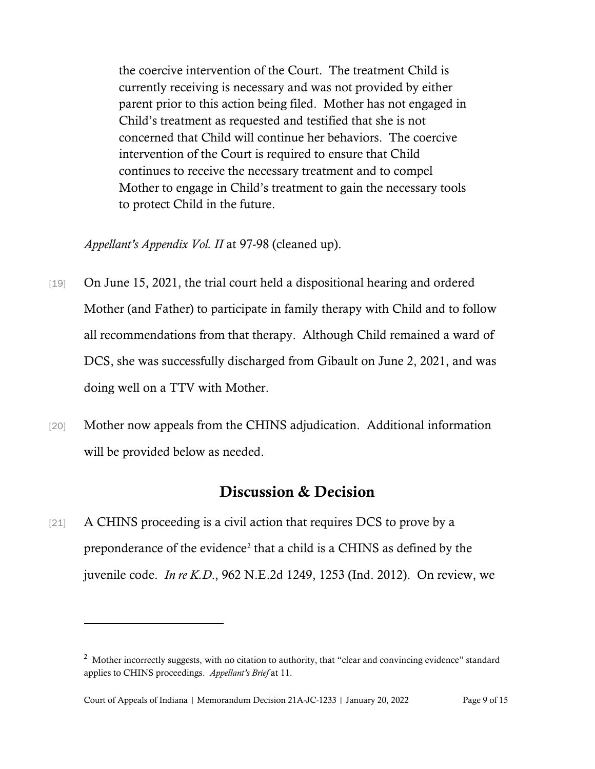the coercive intervention of the Court. The treatment Child is currently receiving is necessary and was not provided by either parent prior to this action being filed. Mother has not engaged in Child's treatment as requested and testified that she is not concerned that Child will continue her behaviors. The coercive intervention of the Court is required to ensure that Child continues to receive the necessary treatment and to compel Mother to engage in Child's treatment to gain the necessary tools to protect Child in the future.

*Appellant's Appendix Vol. II* at 97-98 (cleaned up).

- [19] On June 15, 2021, the trial court held a dispositional hearing and ordered Mother (and Father) to participate in family therapy with Child and to follow all recommendations from that therapy. Although Child remained a ward of DCS, she was successfully discharged from Gibault on June 2, 2021, and was doing well on a TTV with Mother.
- [20] Mother now appeals from the CHINS adjudication. Additional information will be provided below as needed.

# Discussion & Decision

[21] A CHINS proceeding is a civil action that requires DCS to prove by a preponderance of the evidence<sup>[2](#page-8-0)</sup> that a child is a CHINS as defined by the juvenile code. *In re K.D*., 962 N.E.2d 1249, 1253 (Ind. 2012). On review, we

<span id="page-8-0"></span> $2$  Mother incorrectly suggests, with no citation to authority, that "clear and convincing evidence" standard applies to CHINS proceedings. *Appellant's Brief* at 11.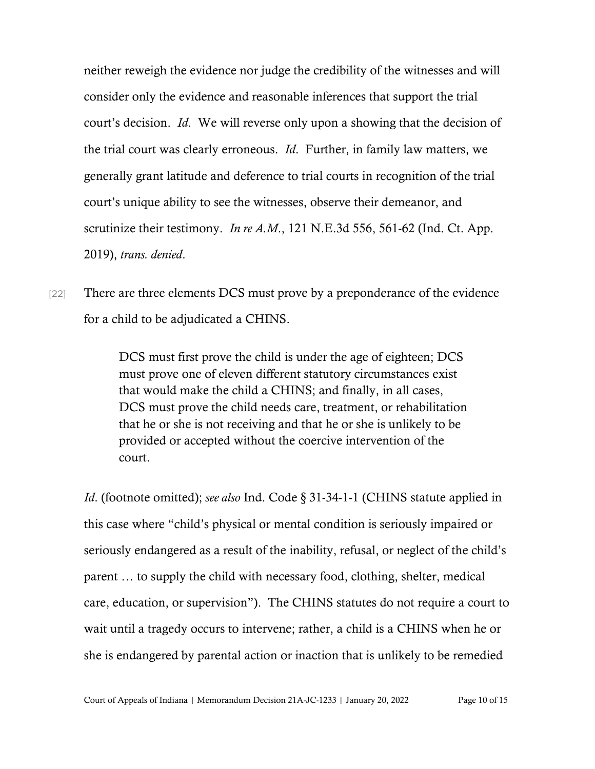neither reweigh the evidence nor judge the credibility of the witnesses and will consider only the evidence and reasonable inferences that support the trial court's decision. *Id*. We will reverse only upon a showing that the decision of the trial court was clearly erroneous. *Id*. Further, in family law matters, we generally grant latitude and deference to trial courts in recognition of the trial court's unique ability to see the witnesses, observe their demeanor, and scrutinize their testimony. *In re A.M*., 121 N.E.3d 556, 561-62 (Ind. Ct. App. 2019), *trans. denied*.

[22] There are three elements DCS must prove by a preponderance of the evidence for a child to be adjudicated a CHINS.

> DCS must first prove the child is under the age of eighteen; DCS must prove one of eleven different statutory circumstances exist that would make the child a CHINS; and finally, in all cases, DCS must prove the child needs care, treatment, or rehabilitation that he or she is not receiving and that he or she is unlikely to be provided or accepted without the coercive intervention of the court.

*Id.* (footnote omitted); *see also* Ind. Code § 31-34-1-1 (CHINS statute applied in this case where "child's physical or mental condition is seriously impaired or seriously endangered as a result of the inability, refusal, or neglect of the child's parent … to supply the child with necessary food, clothing, shelter, medical care, education, or supervision"). The CHINS statutes do not require a court to wait until a tragedy occurs to intervene; rather, a child is a CHINS when he or she is endangered by parental action or inaction that is unlikely to be remedied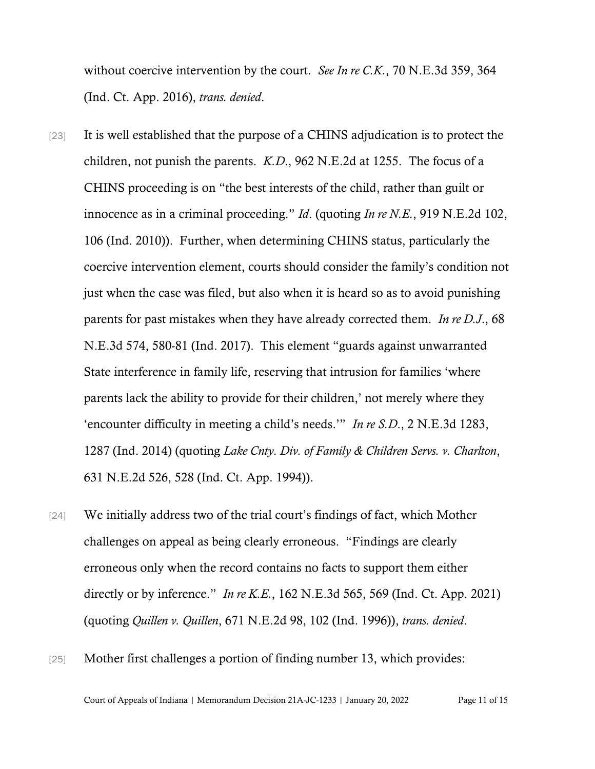without coercive intervention by the court. *See In re C.K.*, 70 N.E.3d 359, 364 (Ind. Ct. App. 2016), *trans. denied*.

- [23] It is well established that the purpose of a CHINS adjudication is to protect the children, not punish the parents. *K.D*., 962 N.E.2d at 1255. The focus of a CHINS proceeding is on "the best interests of the child, rather than guilt or innocence as in a criminal proceeding." *Id*. (quoting *In re N.E.*, 919 N.E.2d 102, 106 (Ind. 2010)). Further, when determining CHINS status, particularly the coercive intervention element, courts should consider the family's condition not just when the case was filed, but also when it is heard so as to avoid punishing parents for past mistakes when they have already corrected them. *In re D.J*., 68 N.E.3d 574, 580-81 (Ind. 2017). This element "guards against unwarranted State interference in family life, reserving that intrusion for families 'where parents lack the ability to provide for their children,' not merely where they 'encounter difficulty in meeting a child's needs.'" *In re S.D*., 2 N.E.3d 1283, 1287 (Ind. 2014) (quoting *Lake Cnty. Div. of Family & Children Servs. v. Charlton*, 631 N.E.2d 526, 528 (Ind. Ct. App. 1994)).
- [24] We initially address two of the trial court's findings of fact, which Mother challenges on appeal as being clearly erroneous. "Findings are clearly erroneous only when the record contains no facts to support them either directly or by inference." *In re K.E.*, 162 N.E.3d 565, 569 (Ind. Ct. App. 2021) (quoting *Quillen v. Quillen*, 671 N.E.2d 98, 102 (Ind. 1996)), *trans. denied*.
- [25] Mother first challenges a portion of finding number 13, which provides: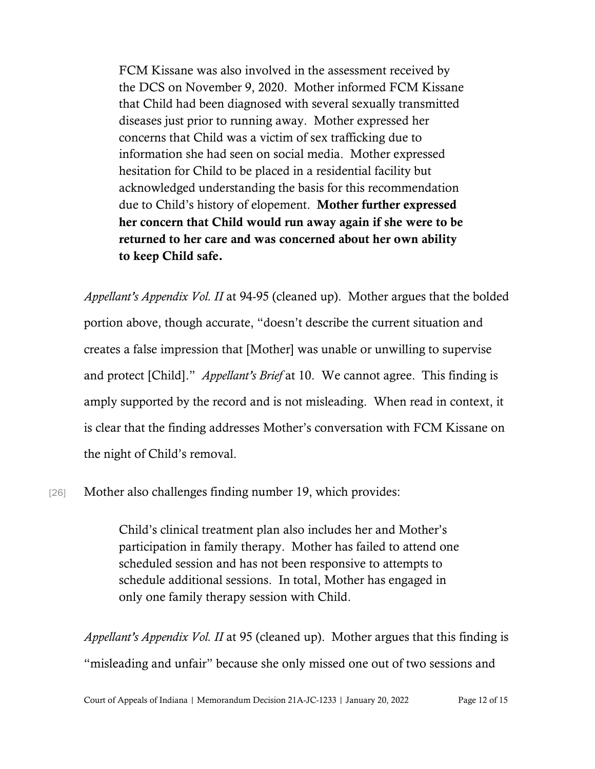FCM Kissane was also involved in the assessment received by the DCS on November 9, 2020. Mother informed FCM Kissane that Child had been diagnosed with several sexually transmitted diseases just prior to running away. Mother expressed her concerns that Child was a victim of sex trafficking due to information she had seen on social media. Mother expressed hesitation for Child to be placed in a residential facility but acknowledged understanding the basis for this recommendation due to Child's history of elopement. Mother further expressed her concern that Child would run away again if she were to be returned to her care and was concerned about her own ability to keep Child safe.

*Appellant's Appendix Vol. II* at 94-95 (cleaned up). Mother argues that the bolded portion above, though accurate, "doesn't describe the current situation and creates a false impression that [Mother] was unable or unwilling to supervise and protect [Child]." *Appellant's Brief* at 10. We cannot agree. This finding is amply supported by the record and is not misleading. When read in context, it is clear that the finding addresses Mother's conversation with FCM Kissane on the night of Child's removal.

[26] Mother also challenges finding number 19, which provides:

Child's clinical treatment plan also includes her and Mother's participation in family therapy. Mother has failed to attend one scheduled session and has not been responsive to attempts to schedule additional sessions. In total, Mother has engaged in only one family therapy session with Child.

*Appellant's Appendix Vol. II* at 95 (cleaned up). Mother argues that this finding is "misleading and unfair" because she only missed one out of two sessions and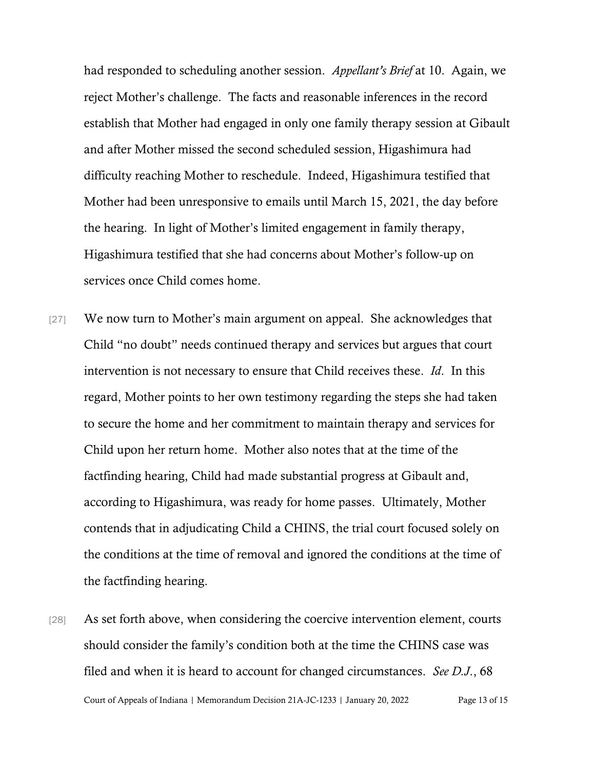had responded to scheduling another session. *Appellant's Brief* at 10. Again, we reject Mother's challenge. The facts and reasonable inferences in the record establish that Mother had engaged in only one family therapy session at Gibault and after Mother missed the second scheduled session, Higashimura had difficulty reaching Mother to reschedule. Indeed, Higashimura testified that Mother had been unresponsive to emails until March 15, 2021, the day before the hearing. In light of Mother's limited engagement in family therapy, Higashimura testified that she had concerns about Mother's follow-up on services once Child comes home.

- [27] We now turn to Mother's main argument on appeal. She acknowledges that Child "no doubt" needs continued therapy and services but argues that court intervention is not necessary to ensure that Child receives these. *Id*. In this regard, Mother points to her own testimony regarding the steps she had taken to secure the home and her commitment to maintain therapy and services for Child upon her return home. Mother also notes that at the time of the factfinding hearing, Child had made substantial progress at Gibault and, according to Higashimura, was ready for home passes. Ultimately, Mother contends that in adjudicating Child a CHINS, the trial court focused solely on the conditions at the time of removal and ignored the conditions at the time of the factfinding hearing.
- Court of Appeals of Indiana | Memorandum Decision 21A-JC-1233 | January 20, 2022 Page 13 of 15 [28] As set forth above, when considering the coercive intervention element, courts should consider the family's condition both at the time the CHINS case was filed and when it is heard to account for changed circumstances. *See D.J*., 68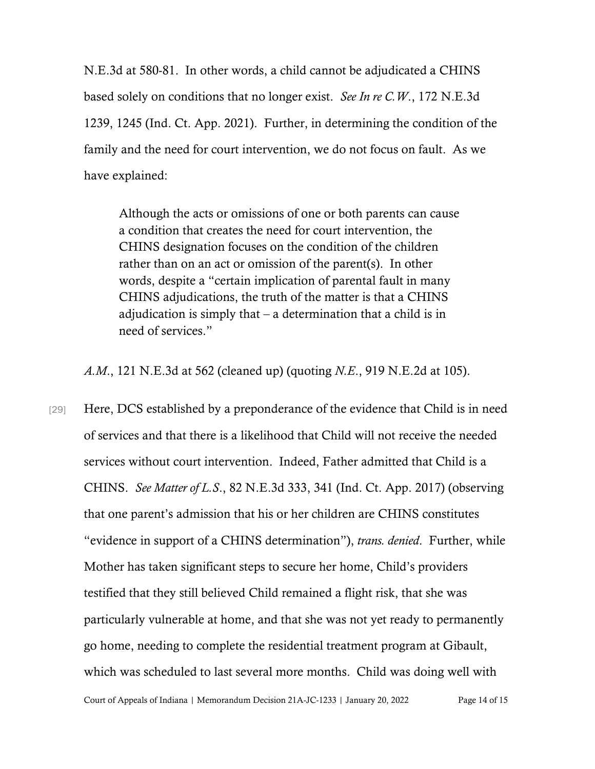N.E.3d at 580-81. In other words, a child cannot be adjudicated a CHINS based solely on conditions that no longer exist. *See In re C.W*., 172 N.E.3d 1239, 1245 (Ind. Ct. App. 2021). Further, in determining the condition of the family and the need for court intervention, we do not focus on fault. As we have explained:

Although the acts or omissions of one or both parents can cause a condition that creates the need for court intervention, the CHINS designation focuses on the condition of the children rather than on an act or omission of the parent(s). In other words, despite a "certain implication of parental fault in many CHINS adjudications, the truth of the matter is that a CHINS adjudication is simply that – a determination that a child is in need of services."

*A.M*., 121 N.E.3d at 562 (cleaned up) (quoting *N.E*., 919 N.E.2d at 105).

[29] Here, DCS established by a preponderance of the evidence that Child is in need of services and that there is a likelihood that Child will not receive the needed services without court intervention. Indeed, Father admitted that Child is a CHINS. *See Matter of L.S*., 82 N.E.3d 333, 341 (Ind. Ct. App. 2017) (observing that one parent's admission that his or her children are CHINS constitutes "evidence in support of a CHINS determination"), *trans. denied*. Further, while Mother has taken significant steps to secure her home, Child's providers testified that they still believed Child remained a flight risk, that she was particularly vulnerable at home, and that she was not yet ready to permanently go home, needing to complete the residential treatment program at Gibault, which was scheduled to last several more months. Child was doing well with